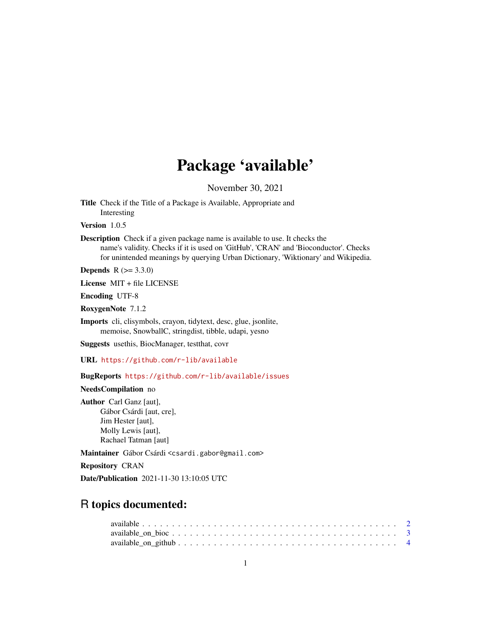## Package 'available'

November 30, 2021

<span id="page-0-0"></span>Title Check if the Title of a Package is Available, Appropriate and Interesting

Version 1.0.5

Description Check if a given package name is available to use. It checks the name's validity. Checks if it is used on 'GitHub', 'CRAN' and 'Bioconductor'. Checks for unintended meanings by querying Urban Dictionary, 'Wiktionary' and Wikipedia.

**Depends**  $R (= 3.3.0)$ 

License MIT + file LICENSE

Encoding UTF-8

RoxygenNote 7.1.2

Imports cli, clisymbols, crayon, tidytext, desc, glue, jsonlite, memoise, SnowballC, stringdist, tibble, udapi, yesno

Suggests usethis, BiocManager, testthat, covr

URL <https://github.com/r-lib/available>

BugReports <https://github.com/r-lib/available/issues>

NeedsCompilation no

Author Carl Ganz [aut], Gábor Csárdi [aut, cre], Jim Hester [aut], Molly Lewis [aut], Rachael Tatman [aut]

Maintainer Gábor Csárdi <csardi.gabor@gmail.com>

Repository CRAN

Date/Publication 2021-11-30 13:10:05 UTC

### R topics documented: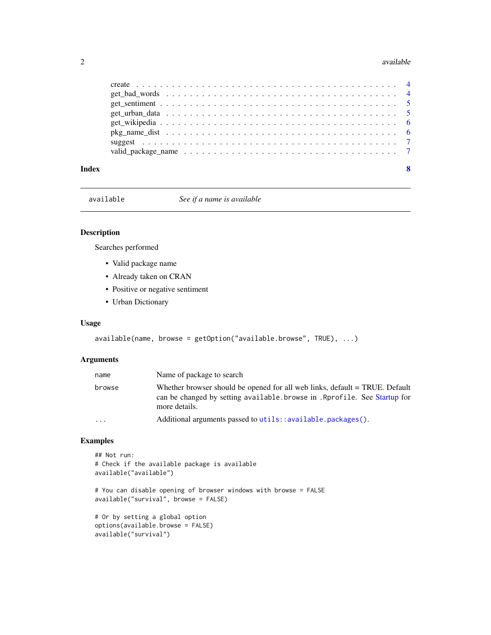#### <span id="page-1-0"></span>2 available control of the control of the control of the control of the control of the control of the control of the control of the control of the control of the control of the control of the control of the control of the

| Index | $\mathbf{8}$ |
|-------|--------------|
|       |              |

available *See if a name is available*

#### Description

Searches performed

- Valid package name
- Already taken on CRAN
- Positive or negative sentiment
- Urban Dictionary

#### Usage

```
available(name, browse = getOption("available.browse", TRUE), ...)
```
#### Arguments

| name      | Name of package to search                                                                                                                                                  |
|-----------|----------------------------------------------------------------------------------------------------------------------------------------------------------------------------|
| browse    | Whether browser should be opened for all web links, default = TRUE. Default<br>can be changed by setting available. browse in . Rprofile. See Startup for<br>more details. |
| $\ddotsc$ | Additional arguments passed to utils::available.packages().                                                                                                                |

#### Examples

```
## Not run:
# Check if the available package is available
available("available")
# You can disable opening of browser windows with browse = FALSE
available("survival", browse = FALSE)
# Or by setting a global option
options(available.browse = FALSE)
available("survival")
```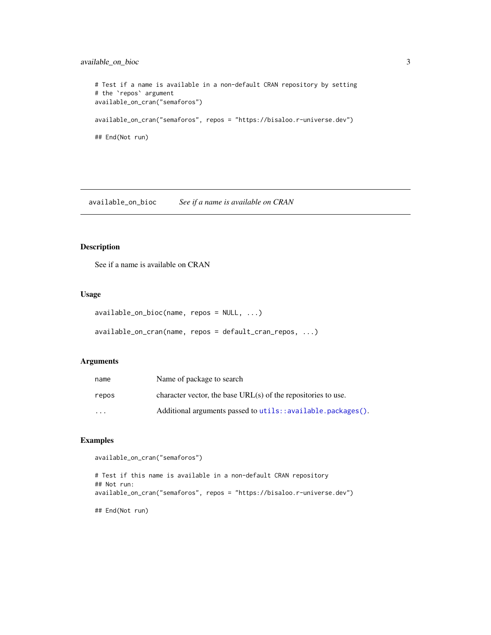#### <span id="page-2-0"></span>available\_on\_bioc 3

```
# Test if a name is available in a non-default CRAN repository by setting
# the `repos` argument
available_on_cran("semaforos")
available_on_cran("semaforos", repos = "https://bisaloo.r-universe.dev")
## End(Not run)
```
available\_on\_bioc *See if a name is available on CRAN*

#### Description

See if a name is available on CRAN

#### Usage

```
available_on_bioc(name, repos = NULL, ...)
```

```
available_on_cran(name, repos = default_cran_repos, ...)
```
#### Arguments

| name    | Name of package to search                                       |
|---------|-----------------------------------------------------------------|
| repos   | character vector, the base $URL(s)$ of the repositories to use. |
| $\cdot$ | Additional arguments passed to utils::available.packages().     |

#### Examples

```
available_on_cran("semaforos")
```

```
# Test if this name is available in a non-default CRAN repository
## Not run:
available_on_cran("semaforos", repos = "https://bisaloo.r-universe.dev")
## End(Not run)
```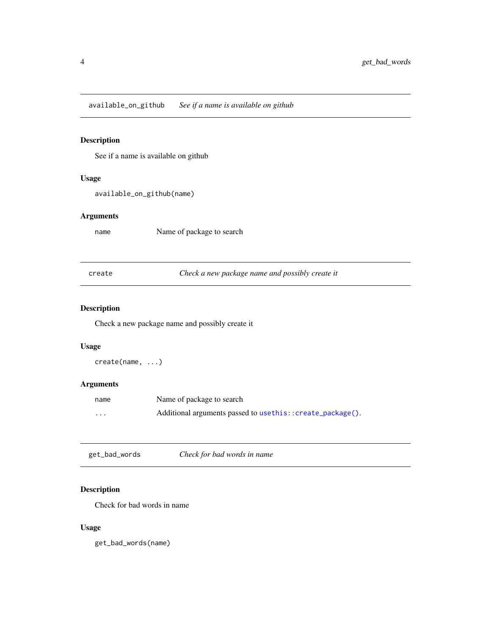<span id="page-3-0"></span>available\_on\_github *See if a name is available on github*

#### Description

See if a name is available on github

#### Usage

available\_on\_github(name)

#### Arguments

name Name of package to search

create *Check a new package name and possibly create it*

#### Description

Check a new package name and possibly create it

#### Usage

create(name, ...)

#### Arguments

| name     | Name of package to search                                 |
|----------|-----------------------------------------------------------|
| $\cdots$ | Additional arguments passed to usethis::create_package(). |

get\_bad\_words *Check for bad words in name*

#### Description

Check for bad words in name

#### Usage

get\_bad\_words(name)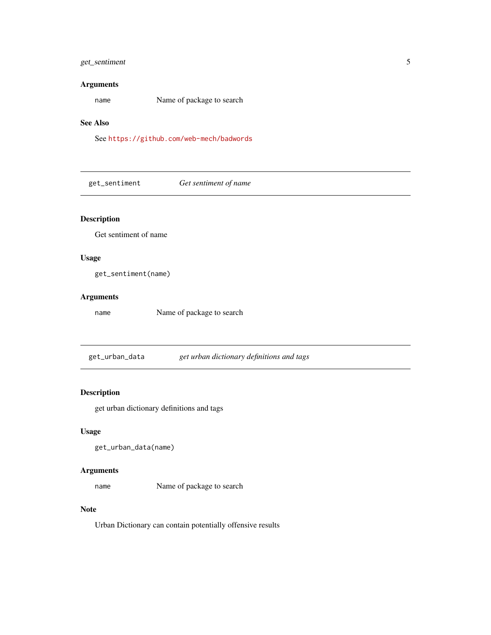#### <span id="page-4-0"></span>get\_sentiment 5

#### Arguments

name Name of package to search

#### See Also

See <https://github.com/web-mech/badwords>

get\_sentiment *Get sentiment of name*

#### Description

Get sentiment of name

#### Usage

get\_sentiment(name)

#### Arguments

name Name of package to search

get\_urban\_data *get urban dictionary definitions and tags*

#### Description

get urban dictionary definitions and tags

#### Usage

get\_urban\_data(name)

#### Arguments

name Name of package to search

#### Note

Urban Dictionary can contain potentially offensive results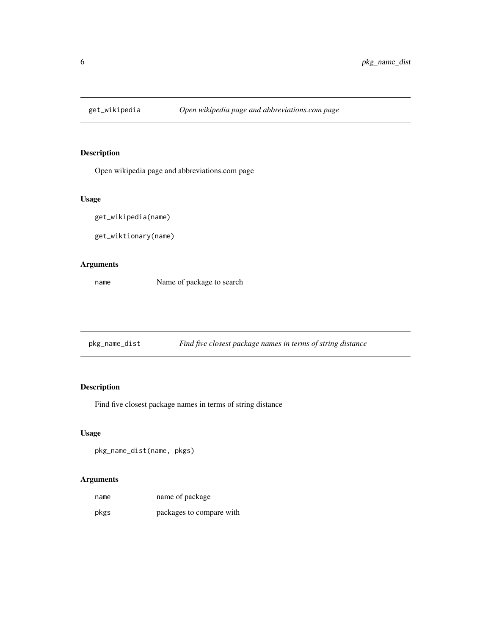<span id="page-5-0"></span>

#### Description

Open wikipedia page and abbreviations.com page

#### Usage

get\_wikipedia(name)

get\_wiktionary(name)

#### Arguments

name Name of package to search

pkg\_name\_dist *Find five closest package names in terms of string distance*

#### Description

Find five closest package names in terms of string distance

#### Usage

pkg\_name\_dist(name, pkgs)

#### Arguments

| name | name of package          |
|------|--------------------------|
| pkgs | packages to compare with |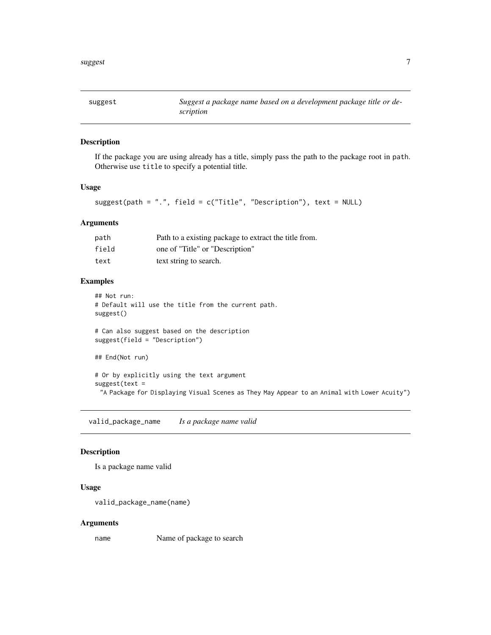<span id="page-6-0"></span>

#### Description

If the package you are using already has a title, simply pass the path to the package root in path. Otherwise use title to specify a potential title.

#### Usage

```
suggest(path = ".", field = c("Title", "Description"), text = NULL)
```
#### Arguments

| path  | Path to a existing package to extract the title from. |
|-------|-------------------------------------------------------|
| field | one of "Title" or "Description"                       |
| text  | text string to search.                                |

#### Examples

```
## Not run:
# Default will use the title from the current path.
suggest()
# Can also suggest based on the description
suggest(field = "Description")
## End(Not run)
# Or by explicitly using the text argument
suggest(text =
 "A Package for Displaying Visual Scenes as They May Appear to an Animal with Lower Acuity")
```
valid\_package\_name *Is a package name valid*

#### Description

Is a package name valid

#### Usage

```
valid_package_name(name)
```
#### Arguments

name Name of package to search